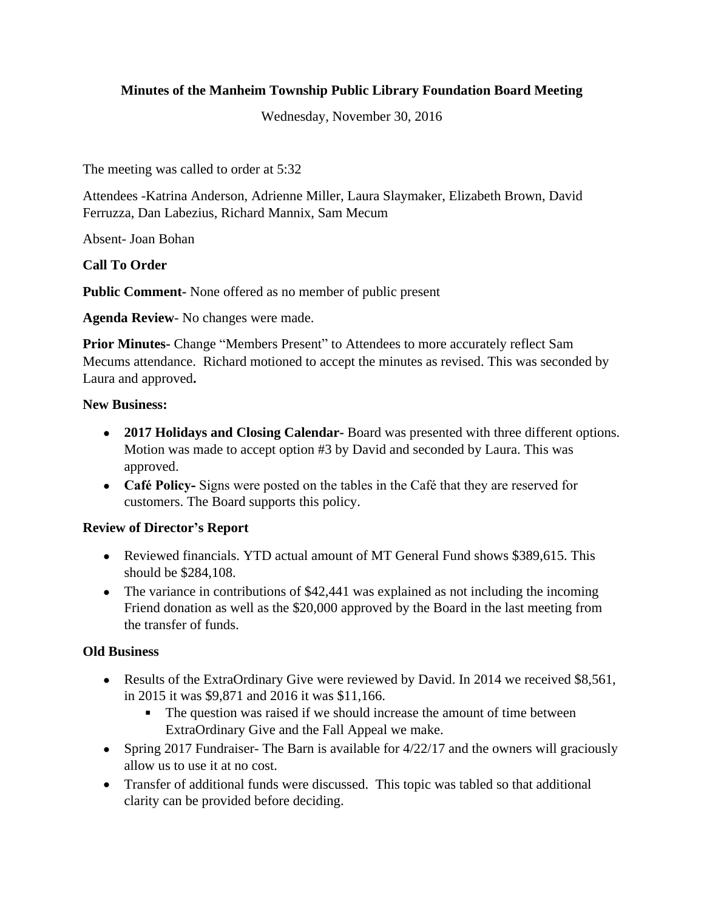# **Minutes of the Manheim Township Public Library Foundation Board Meeting**

Wednesday, November 30, 2016

The meeting was called to order at 5:32

Attendees -Katrina Anderson, Adrienne Miller, Laura Slaymaker, Elizabeth Brown, David Ferruzza, Dan Labezius, Richard Mannix, Sam Mecum

Absent- Joan Bohan

**Call To Order**

**Public Comment-** None offered as no member of public present

**Agenda Review**- No changes were made.

**Prior Minutes-** Change "Members Present" to Attendees to more accurately reflect Sam Mecums attendance. Richard motioned to accept the minutes as revised. This was seconded by Laura and approved**.**

### **New Business:**

- **2017 Holidays and Closing Calendar-** Board was presented with three different options. Motion was made to accept option #3 by David and seconded by Laura. This was approved.
- **Café Policy-** Signs were posted on the tables in the Café that they are reserved for customers. The Board supports this policy.

### **Review of Director's Report**

- Reviewed financials. YTD actual amount of MT General Fund shows \$389,615. This should be \$284,108.
- The variance in contributions of \$42,441 was explained as not including the incoming Friend donation as well as the \$20,000 approved by the Board in the last meeting from the transfer of funds.

### **Old Business**

- Results of the ExtraOrdinary Give were reviewed by David. In 2014 we received \$8,561, in 2015 it was \$9,871 and 2016 it was \$11,166.
	- The question was raised if we should increase the amount of time between ExtraOrdinary Give and the Fall Appeal we make.
- Spring 2017 Fundraiser- The Barn is available for 4/22/17 and the owners will graciously allow us to use it at no cost.
- Transfer of additional funds were discussed. This topic was tabled so that additional clarity can be provided before deciding.